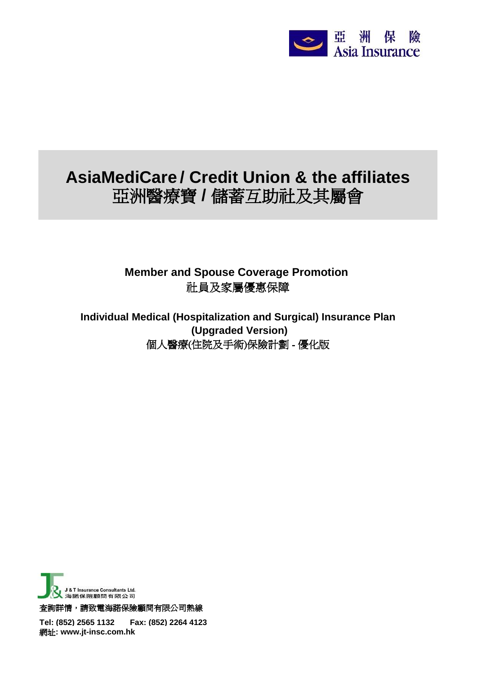

## **AsiaMediCare / Credit Union & the affiliates** 亞洲醫療寶 **/** 儲蓄互助社及其屬會

**Member and Spouse Coverage Promotion**  社員及家屬優惠保障

**Individual Medical (Hospitalization and Surgical) Insurance Plan** 個人醫療(住院及手術)保險計劃 - 優化版  **(Upgraded Version)**



查詢詳情,請致電海諾保險顧問有限公司熱線

**Tel: (852) 2565 1132 Fax: (852) 2264 4123** 網址**: www.jt-insc.com.hk**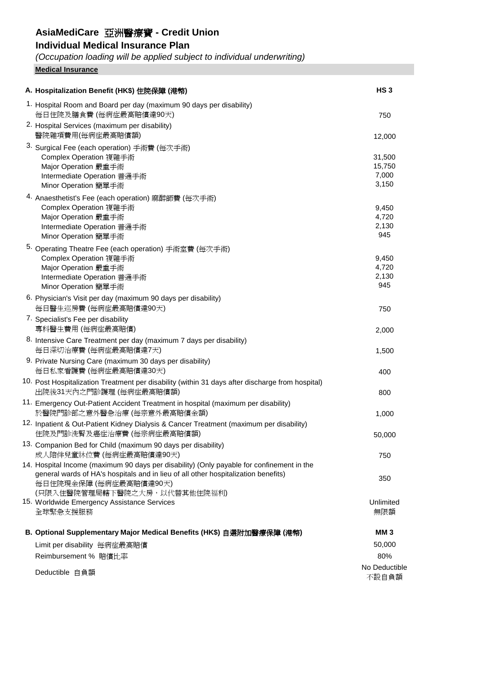### **AsiaMediCare** 亞洲醫療寶 **- Credit Union**

#### **Individual Medical Insurance Plan**

*(Occupation loading will be applied subject to individual underwriting)*

**Medical Insurance**

| A. Hospitalization Benefit (HK\$) 住院保障 (港幣)                                                                                                                                                               | HS <sub>3</sub>                    |
|-----------------------------------------------------------------------------------------------------------------------------------------------------------------------------------------------------------|------------------------------------|
| 1. Hospital Room and Board per day (maximum 90 days per disability)<br>每日住院及膳食費 (每病症最高賠償達90天)                                                                                                             | 750                                |
| 2. Hospital Services (maximum per disability)<br>醫院雜項費用(每病症最高賠償額)                                                                                                                                         | 12,000                             |
| 3. Surgical Fee (each operation) 手術費 (每次手術)<br>Complex Operation 複雜手術<br>Major Operation 嚴重手術<br>Intermediate Operation 普通手術<br>Minor Operation 簡單手術                                                      | 31,500<br>15,750<br>7,000<br>3,150 |
| 4. Anaesthetist's Fee (each operation) 麻醉師費 (每次手術)<br>Complex Operation 複雜手術<br>Major Operation 嚴重手術<br>Intermediate Operation 普通手術<br>Minor Operation 簡單手術                                               | 9,450<br>4,720<br>2,130<br>945     |
| 5. Operating Theatre Fee (each operation) 手術室費 (每次手術)<br>Complex Operation 複雜手術<br>Major Operation 嚴重手術<br>Intermediate Operation 普通手術<br>Minor Operation 簡單手術                                            | 9,450<br>4,720<br>2,130<br>945     |
| 6. Physician's Visit per day (maximum 90 days per disability)<br>每日醫生巡房費 (每病症最高賠償達90天)                                                                                                                    | 750                                |
| 7. Specialist's Fee per disability<br>專科醫生費用 (每病症最高賠償)                                                                                                                                                    | 2,000                              |
| 8. Intensive Care Treatment per day (maximum 7 days per disability)<br>每日深切治療費 (每病症最高賠償達7天)                                                                                                               | 1,500                              |
| 9. Private Nursing Care (maximum 30 days per disability)<br>每日私家看護費 (每病症最高賠償達30天)                                                                                                                         | 400                                |
| 10. Post Hospitalization Treatment per disability (within 31 days after discharge from hospital)<br>出院後31天內之門診護理 (每病症最高賠償額)                                                                               | 800                                |
| 11. Emergency Out-Patient Accident Treatment in hospital (maximum per disability)<br>於醫院門診部之意外醫急治療 (每宗意外最高賠償金額)                                                                                           | 1,000                              |
| 12. Inpatient & Out-Patient Kidney Dialysis & Cancer Treatment (maximum per disability)<br>住院及門診洗腎及癌症治療費 (每宗病症最高賠償額)                                                                                      | 50,000                             |
| 13. Companion Bed for Child (maximum 90 days per disability)<br>成人陪伴兒童牀位費(每病症最高賠償達90天)                                                                                                                    | 750                                |
| 14. Hospital Income (maximum 90 days per disability) (Only payable for confinement in the<br>general wards of HA's hospitals and in lieu of all other hospitalization benefits)<br>每日住院現金保障 (每病症最高賠償達90天) | 350                                |
| (只限入住醫院管理局轄下醫院之大房,以代替其他住院福利)<br>15. Worldwide Emergency Assistance Services<br>全球緊急支援服務                                                                                                                   | Unlimited<br>無限額                   |
| B. Optional Supplementary Major Medical Benefits (HK\$) 自選附加醫療保障 (港幣)                                                                                                                                     | <b>MM3</b>                         |
| Limit per disability 每病症最高賠償                                                                                                                                                                              | 50,000                             |
| Reimbursement % 賠償比率                                                                                                                                                                                      | 80%                                |
| Deductible 自負額                                                                                                                                                                                            | No Deductible<br>不設自負額             |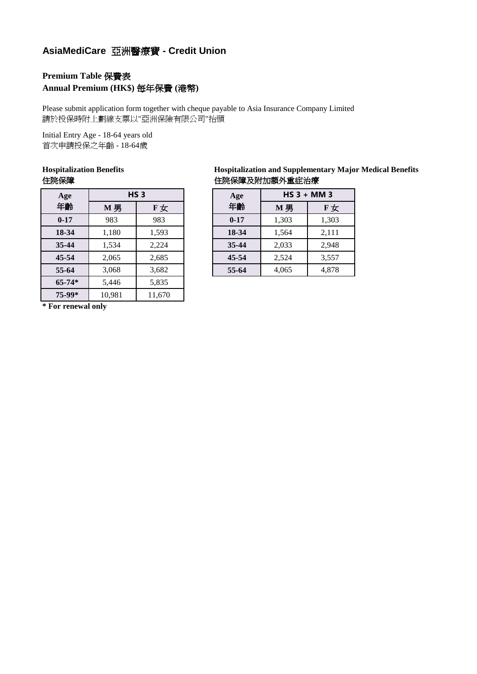### **AsiaMediCare** 亞洲醫療寶 **- Credit Union**

#### **Premium Table** 保費表 **Annual Premium (HK\$)** 每年保費 **(**港幣**)**

Please submit application form together with cheque payable to Asia Insurance Company Limited 請於投保時附上劃線支票以"亞洲保險有限公司"抬頭

Initial Entry Age - 18-64 years old 首次申請投保之年齡 - 18-64歲

# **Hospitalization Benefits**

| Age        |        | HS <sub>3</sub> | Age      | $HS$ 3 + MM 3 |       |  |
|------------|--------|-----------------|----------|---------------|-------|--|
| 年齡         | M男     | F女              | 年齢       | M 男           | F女    |  |
| $0 - 17$   | 983    | 983             | $0 - 17$ | 1,303         | 1,303 |  |
| 18-34      | 1,180  | 1,593           | 18-34    | 1,564         | 2,111 |  |
| 35-44      | 1,534  | 2,224           | 35-44    | 2,033         | 2,948 |  |
| $45 - 54$  | 2,065  | 2,685           | 45-54    | 2,524         | 3,557 |  |
| 55-64      | 3,068  | 3,682           | 55-64    | 4,065         | 4,878 |  |
| $65 - 74*$ | 5,446  | 5,835           |          |               |       |  |
| 75-99*     | 10,981 | 11,670          |          |               |       |  |

**\* For renewal only**

| <b>Hospitalization Benefits</b> | <b>Hospitalization and Supplementary Major Medical Benefits</b> |
|---------------------------------|-----------------------------------------------------------------|
| 住院保障                            | 住院保障及附加額外重症治療                                                   |

| Age            | HS <sub>3</sub> |       | Age      | $HS$ 3 + MM 3 |       |  |
|----------------|-----------------|-------|----------|---------------|-------|--|
| 年齡             | M男              | F女    | 年齡       | M男            | F女    |  |
| $0 - 17$       | 983             | 983   | $0 - 17$ | 1,303         | 1,303 |  |
| $18 - 34$      | 1,180           | 1,593 | 18-34    | 1,564         | 2,111 |  |
| $35-44$        | 1,534           | 2,224 | 35-44    | 2,033         | 2,948 |  |
| 15-54          | 2,065           | 2,685 | 45-54    | 2,524         | 3,557 |  |
| 3,068<br>55-64 |                 | 3,682 | 55-64    | 4,065         | 4,878 |  |
|                |                 |       |          |               |       |  |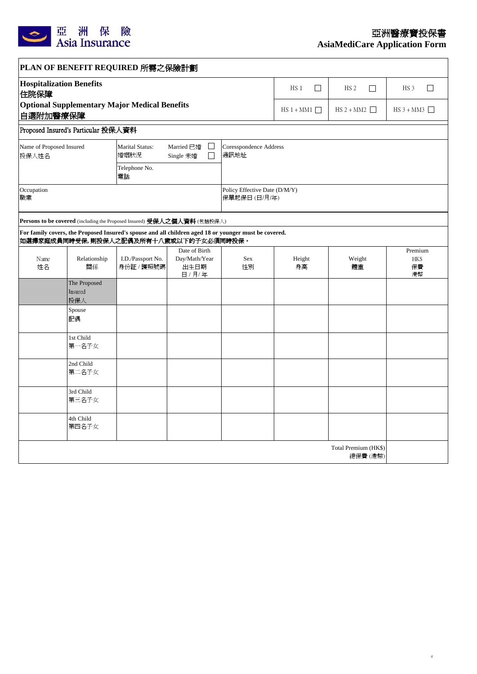

 $\overline{\phantom{a}}$ 

4

**AsiaMediCare Application Form**

| PLAN OF BENEFIT REQUIRED 所需之保險計劃                                                                  |                                                                                                     |                                                                                                                                                 |                                                   |                                                |                  |                                  |                             |  |  |
|---------------------------------------------------------------------------------------------------|-----------------------------------------------------------------------------------------------------|-------------------------------------------------------------------------------------------------------------------------------------------------|---------------------------------------------------|------------------------------------------------|------------------|----------------------------------|-----------------------------|--|--|
| 住院保障                                                                                              | <b>Hospitalization Benefits</b><br><b>Optional Supplementary Major Medical Benefits</b><br>自選附加醫療保障 |                                                                                                                                                 |                                                   |                                                | $\Box$<br>$HS_1$ | $\Box$<br>HS <sub>2</sub>        | $\Box$<br>HS <sub>3</sub>   |  |  |
|                                                                                                   |                                                                                                     |                                                                                                                                                 |                                                   |                                                | $HS 1 + MM1$     | $HS 2 + MM2$                     | $HS 3 + MM3$                |  |  |
|                                                                                                   | Proposed Insured's Particular 投保人資料                                                                 |                                                                                                                                                 |                                                   |                                                |                  |                                  |                             |  |  |
| Name of Proposed Insured<br>Marital Status:<br>Married 已婚<br>$\Box$<br>婚姻状況<br>投保人姓名<br>Single 未婚 |                                                                                                     |                                                                                                                                                 |                                                   | <b>Coresspondence Address</b><br>通訊地址          |                  |                                  |                             |  |  |
|                                                                                                   |                                                                                                     | Telephone No.<br>電話                                                                                                                             |                                                   |                                                |                  |                                  |                             |  |  |
| Occupation<br>職業                                                                                  |                                                                                                     |                                                                                                                                                 |                                                   | Policy Effective Date (D/M/Y)<br>保單起保日 (日/月/年) |                  |                                  |                             |  |  |
|                                                                                                   |                                                                                                     | Persons to be covered (including the Proposed Insured) 受保人之個人資料 (包括投保人)                                                                         |                                                   |                                                |                  |                                  |                             |  |  |
|                                                                                                   |                                                                                                     | For family covers, the Proposed Insured's spouse and all children aged 18 or younger must be covered.<br>如選擇家庭成員同時受保,則投保人之配偶及所有十八歲或以下的子女必須同時投保。 |                                                   |                                                |                  |                                  |                             |  |  |
| Name<br>姓名                                                                                        | Relationship<br>關係                                                                                  | I.D./Passport No.<br>身份証 / 護照號碼                                                                                                                 | Date of Birth<br>Day/Math/Year<br>出生日期<br>日 / 月/年 | Sex<br>性別                                      | Height<br>身高     | Weight<br>體重                     | Premium<br>HK\$<br>保費<br>港幣 |  |  |
|                                                                                                   | The Proposed<br>Insured<br>投保人                                                                      |                                                                                                                                                 |                                                   |                                                |                  |                                  |                             |  |  |
|                                                                                                   | Spouse<br>配偶                                                                                        |                                                                                                                                                 |                                                   |                                                |                  |                                  |                             |  |  |
|                                                                                                   | 1st Child<br>第一名子女                                                                                  |                                                                                                                                                 |                                                   |                                                |                  |                                  |                             |  |  |
|                                                                                                   | 2nd Child<br>第二名子女                                                                                  |                                                                                                                                                 |                                                   |                                                |                  |                                  |                             |  |  |
|                                                                                                   | 3rd Child<br>第三名子女                                                                                  |                                                                                                                                                 |                                                   |                                                |                  |                                  |                             |  |  |
|                                                                                                   | 4th Child<br>第四名子女                                                                                  |                                                                                                                                                 |                                                   |                                                |                  |                                  |                             |  |  |
|                                                                                                   |                                                                                                     |                                                                                                                                                 |                                                   |                                                |                  | Total Premium (HK\$)<br>總保費 (港幣) |                             |  |  |